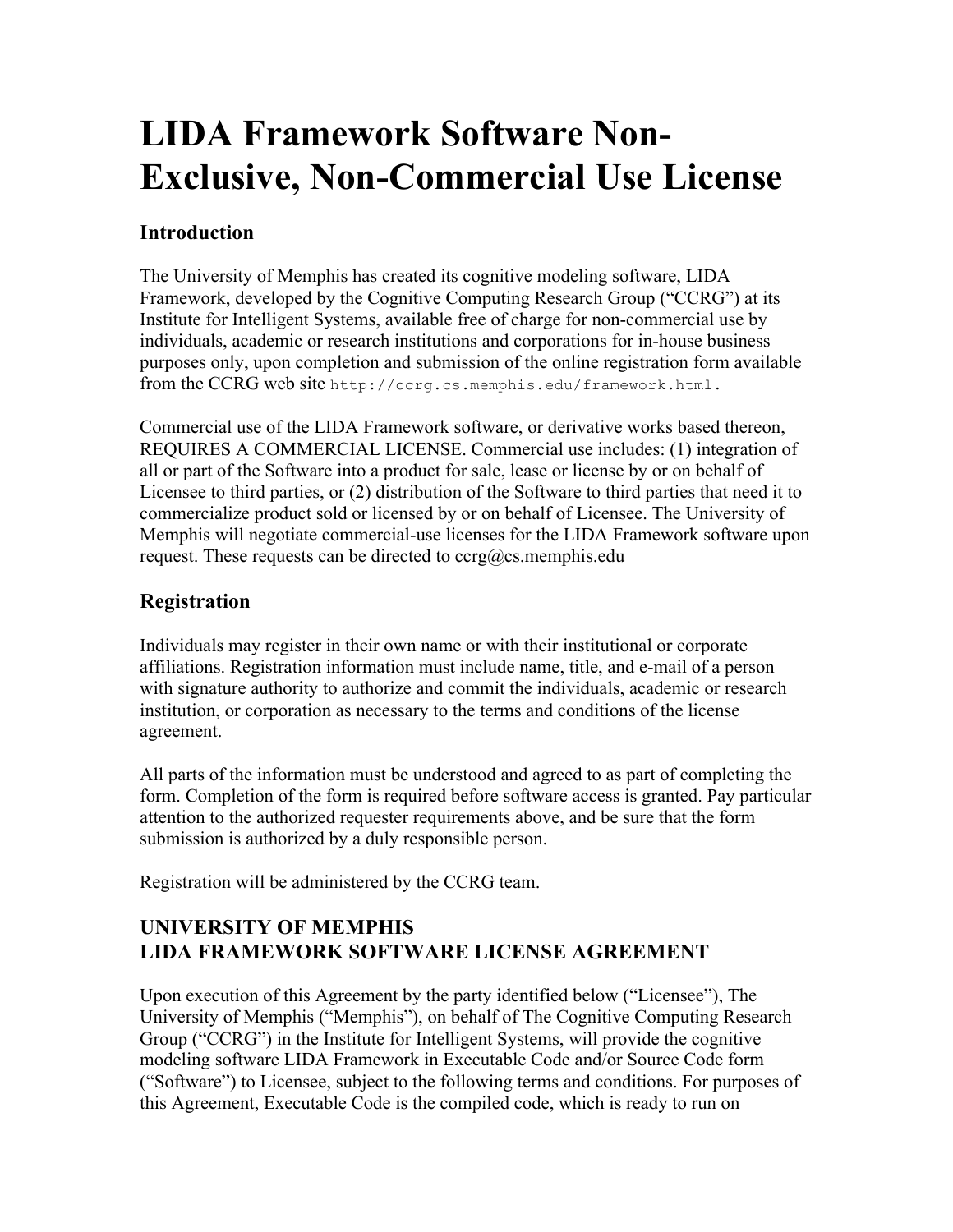# **LIDA Framework Software Non-Exclusive, Non-Commercial Use License**

#### **Introduction**

The University of Memphis has created its cognitive modeling software, LIDA Framework, developed by the Cognitive Computing Research Group ("CCRG") at its Institute for Intelligent Systems, available free of charge for non-commercial use by individuals, academic or research institutions and corporations for in-house business purposes only, upon completion and submission of the online registration form available from the CCRG web site http://ccrg.cs.memphis.edu/framework.html.

Commercial use of the LIDA Framework software, or derivative works based thereon, REQUIRES A COMMERCIAL LICENSE. Commercial use includes: (1) integration of all or part of the Software into a product for sale, lease or license by or on behalf of Licensee to third parties, or (2) distribution of the Software to third parties that need it to commercialize product sold or licensed by or on behalf of Licensee. The University of Memphis will negotiate commercial-use licenses for the LIDA Framework software upon request. These requests can be directed to  $ccrg@cs$  memphis.edu

### **Registration**

Individuals may register in their own name or with their institutional or corporate affiliations. Registration information must include name, title, and e-mail of a person with signature authority to authorize and commit the individuals, academic or research institution, or corporation as necessary to the terms and conditions of the license agreement.

All parts of the information must be understood and agreed to as part of completing the form. Completion of the form is required before software access is granted. Pay particular attention to the authorized requester requirements above, and be sure that the form submission is authorized by a duly responsible person.

Registration will be administered by the CCRG team.

## **UNIVERSITY OF MEMPHIS LIDA FRAMEWORK SOFTWARE LICENSE AGREEMENT**

Upon execution of this Agreement by the party identified below ("Licensee"), The University of Memphis ("Memphis"), on behalf of The Cognitive Computing Research Group ("CCRG") in the Institute for Intelligent Systems, will provide the cognitive modeling software LIDA Framework in Executable Code and/or Source Code form ("Software") to Licensee, subject to the following terms and conditions. For purposes of this Agreement, Executable Code is the compiled code, which is ready to run on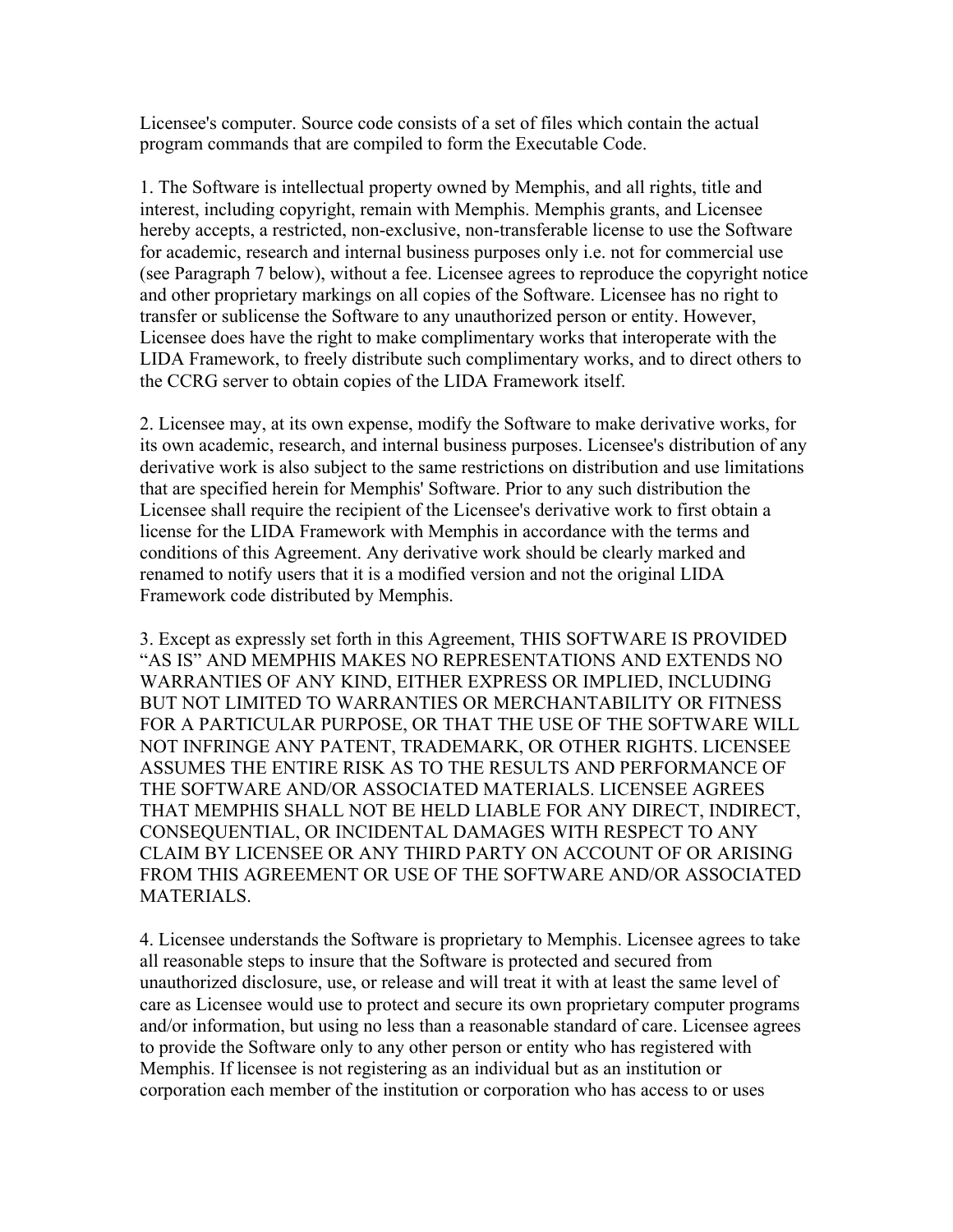Licensee's computer. Source code consists of a set of files which contain the actual program commands that are compiled to form the Executable Code.

1. The Software is intellectual property owned by Memphis, and all rights, title and interest, including copyright, remain with Memphis. Memphis grants, and Licensee hereby accepts, a restricted, non-exclusive, non-transferable license to use the Software for academic, research and internal business purposes only i.e. not for commercial use (see Paragraph 7 below), without a fee. Licensee agrees to reproduce the copyright notice and other proprietary markings on all copies of the Software. Licensee has no right to transfer or sublicense the Software to any unauthorized person or entity. However, Licensee does have the right to make complimentary works that interoperate with the LIDA Framework, to freely distribute such complimentary works, and to direct others to the CCRG server to obtain copies of the LIDA Framework itself.

2. Licensee may, at its own expense, modify the Software to make derivative works, for its own academic, research, and internal business purposes. Licensee's distribution of any derivative work is also subject to the same restrictions on distribution and use limitations that are specified herein for Memphis' Software. Prior to any such distribution the Licensee shall require the recipient of the Licensee's derivative work to first obtain a license for the LIDA Framework with Memphis in accordance with the terms and conditions of this Agreement. Any derivative work should be clearly marked and renamed to notify users that it is a modified version and not the original LIDA Framework code distributed by Memphis.

3. Except as expressly set forth in this Agreement, THIS SOFTWARE IS PROVIDED "AS IS" AND MEMPHIS MAKES NO REPRESENTATIONS AND EXTENDS NO WARRANTIES OF ANY KIND, EITHER EXPRESS OR IMPLIED, INCLUDING BUT NOT LIMITED TO WARRANTIES OR MERCHANTABILITY OR FITNESS FOR A PARTICULAR PURPOSE, OR THAT THE USE OF THE SOFTWARE WILL NOT INFRINGE ANY PATENT, TRADEMARK, OR OTHER RIGHTS. LICENSEE ASSUMES THE ENTIRE RISK AS TO THE RESULTS AND PERFORMANCE OF THE SOFTWARE AND/OR ASSOCIATED MATERIALS. LICENSEE AGREES THAT MEMPHIS SHALL NOT BE HELD LIABLE FOR ANY DIRECT, INDIRECT, CONSEQUENTIAL, OR INCIDENTAL DAMAGES WITH RESPECT TO ANY CLAIM BY LICENSEE OR ANY THIRD PARTY ON ACCOUNT OF OR ARISING FROM THIS AGREEMENT OR USE OF THE SOFTWARE AND/OR ASSOCIATED MATERIALS.

4. Licensee understands the Software is proprietary to Memphis. Licensee agrees to take all reasonable steps to insure that the Software is protected and secured from unauthorized disclosure, use, or release and will treat it with at least the same level of care as Licensee would use to protect and secure its own proprietary computer programs and/or information, but using no less than a reasonable standard of care. Licensee agrees to provide the Software only to any other person or entity who has registered with Memphis. If licensee is not registering as an individual but as an institution or corporation each member of the institution or corporation who has access to or uses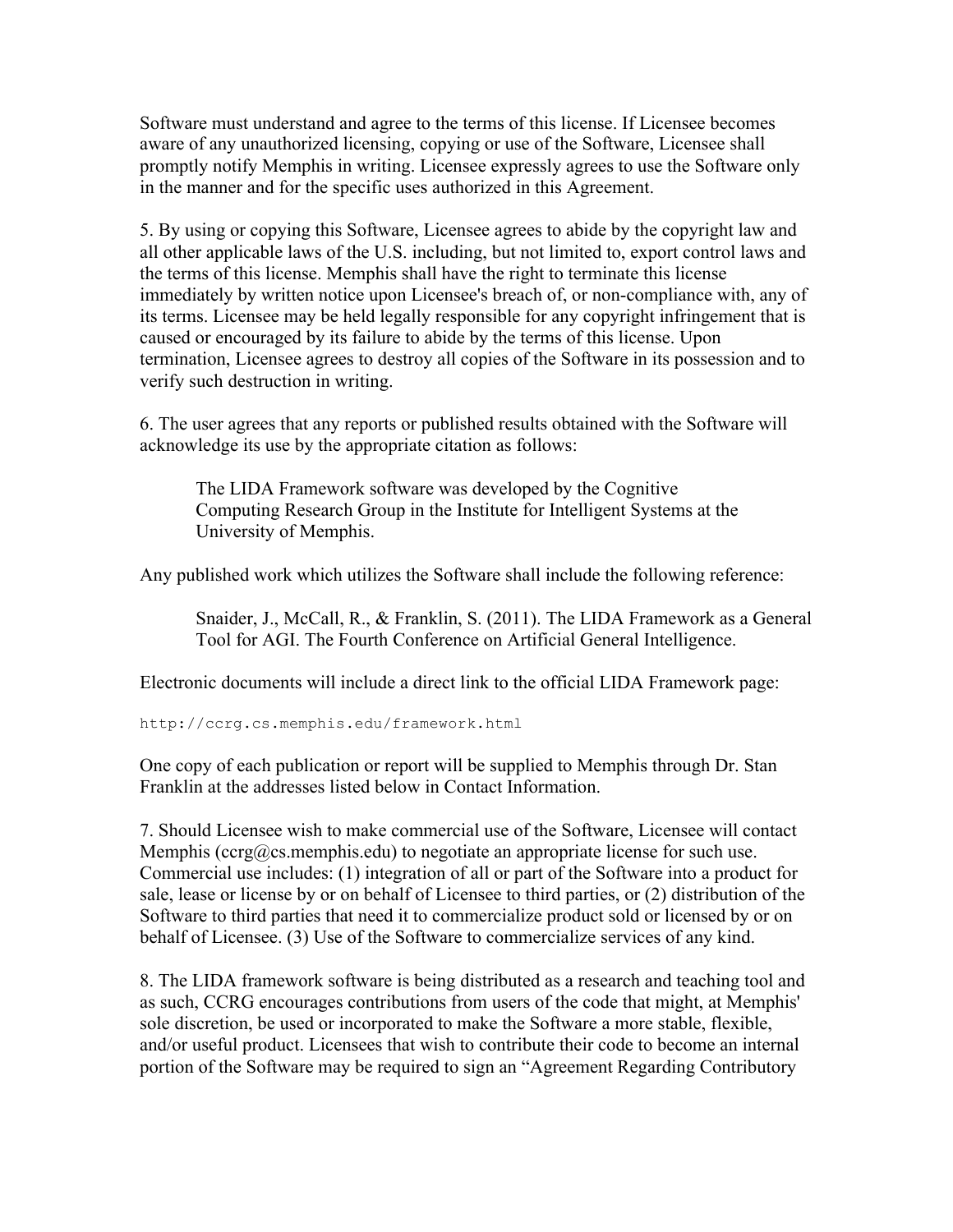Software must understand and agree to the terms of this license. If Licensee becomes aware of any unauthorized licensing, copying or use of the Software, Licensee shall promptly notify Memphis in writing. Licensee expressly agrees to use the Software only in the manner and for the specific uses authorized in this Agreement.

5. By using or copying this Software, Licensee agrees to abide by the copyright law and all other applicable laws of the U.S. including, but not limited to, export control laws and the terms of this license. Memphis shall have the right to terminate this license immediately by written notice upon Licensee's breach of, or non-compliance with, any of its terms. Licensee may be held legally responsible for any copyright infringement that is caused or encouraged by its failure to abide by the terms of this license. Upon termination, Licensee agrees to destroy all copies of the Software in its possession and to verify such destruction in writing.

6. The user agrees that any reports or published results obtained with the Software will acknowledge its use by the appropriate citation as follows:

The LIDA Framework software was developed by the Cognitive Computing Research Group in the Institute for Intelligent Systems at the University of Memphis.

Any published work which utilizes the Software shall include the following reference:

Snaider, J., McCall, R., & Franklin, S. (2011). The LIDA Framework as a General Tool for AGI. The Fourth Conference on Artificial General Intelligence.

Electronic documents will include a direct link to the official LIDA Framework page:

http://ccrg.cs.memphis.edu/framework.html

One copy of each publication or report will be supplied to Memphis through Dr. Stan Franklin at the addresses listed below in Contact Information.

7. Should Licensee wish to make commercial use of the Software, Licensee will contact Memphis (ccrg@cs.memphis.edu) to negotiate an appropriate license for such use. Commercial use includes: (1) integration of all or part of the Software into a product for sale, lease or license by or on behalf of Licensee to third parties, or (2) distribution of the Software to third parties that need it to commercialize product sold or licensed by or on behalf of Licensee. (3) Use of the Software to commercialize services of any kind.

8. The LIDA framework software is being distributed as a research and teaching tool and as such, CCRG encourages contributions from users of the code that might, at Memphis' sole discretion, be used or incorporated to make the Software a more stable, flexible, and/or useful product. Licensees that wish to contribute their code to become an internal portion of the Software may be required to sign an "Agreement Regarding Contributory